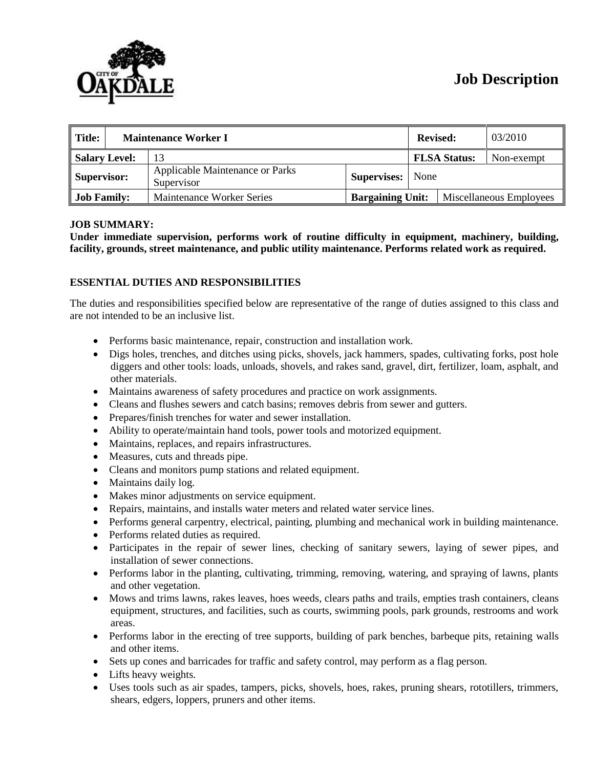# **Job Description**



| Title:               | <b>Maintenance Worker I</b> |                                                      |                           | <b>Revised:</b> |                     | 03/2010                 |
|----------------------|-----------------------------|------------------------------------------------------|---------------------------|-----------------|---------------------|-------------------------|
| <b>Salary Level:</b> |                             |                                                      |                           |                 | <b>FLSA Status:</b> | Non-exempt              |
| Supervisor:          |                             | <b>Applicable Maintenance or Parks</b><br>Supervisor | <b>Supervises:</b>   None |                 |                     |                         |
| <b>Job Family:</b>   |                             | Maintenance Worker Series                            | <b>Bargaining Unit:</b>   |                 |                     | Miscellaneous Employees |

# **JOB SUMMARY:**

**Under immediate supervision, performs work of routine difficulty in equipment, machinery, building, facility, grounds, street maintenance, and public utility maintenance. Performs related work as required.**

## **ESSENTIAL DUTIES AND RESPONSIBILITIES**

The duties and responsibilities specified below are representative of the range of duties assigned to this class and are not intended to be an inclusive list.

- Performs basic maintenance, repair, construction and installation work.
- Digs holes, trenches, and ditches using picks, shovels, jack hammers, spades, cultivating forks, post hole diggers and other tools: loads, unloads, shovels, and rakes sand, gravel, dirt, fertilizer, loam, asphalt, and other materials.
- Maintains awareness of safety procedures and practice on work assignments.
- Cleans and flushes sewers and catch basins; removes debris from sewer and gutters.
- Prepares/finish trenches for water and sewer installation.
- Ability to operate/maintain hand tools, power tools and motorized equipment.
- Maintains, replaces, and repairs infrastructures.
- Measures, cuts and threads pipe.
- Cleans and monitors pump stations and related equipment.
- Maintains daily log.
- Makes minor adjustments on service equipment.
- Repairs, maintains, and installs water meters and related water service lines.
- Performs general carpentry, electrical, painting, plumbing and mechanical work in building maintenance.
- Performs related duties as required.
- Participates in the repair of sewer lines, checking of sanitary sewers, laying of sewer pipes, and installation of sewer connections.
- Performs labor in the planting, cultivating, trimming, removing, watering, and spraying of lawns, plants and other vegetation.
- Mows and trims lawns, rakes leaves, hoes weeds, clears paths and trails, empties trash containers, cleans equipment, structures, and facilities, such as courts, swimming pools, park grounds, restrooms and work areas.
- Performs labor in the erecting of tree supports, building of park benches, barbeque pits, retaining walls and other items.
- Sets up cones and barricades for traffic and safety control, may perform as a flag person.
- Lifts heavy weights.
- Uses tools such as air spades, tampers, picks, shovels, hoes, rakes, pruning shears, rototillers, trimmers, shears, edgers, loppers, pruners and other items.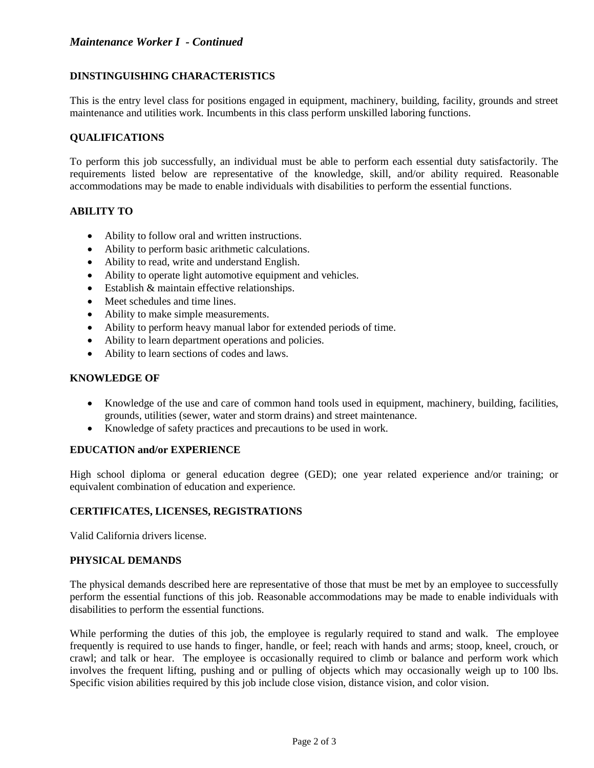# *Maintenance Worker I - Continued*

## **DINSTINGUISHING CHARACTERISTICS**

This is the entry level class for positions engaged in equipment, machinery, building, facility, grounds and street maintenance and utilities work. Incumbents in this class perform unskilled laboring functions.

## **QUALIFICATIONS**

To perform this job successfully, an individual must be able to perform each essential duty satisfactorily. The requirements listed below are representative of the knowledge, skill, and/or ability required. Reasonable accommodations may be made to enable individuals with disabilities to perform the essential functions.

## **ABILITY TO**

- Ability to follow oral and written instructions.
- Ability to perform basic arithmetic calculations.
- Ability to read, write and understand English.
- Ability to operate light automotive equipment and vehicles.
- Establish & maintain effective relationships.
- Meet schedules and time lines.
- Ability to make simple measurements.
- Ability to perform heavy manual labor for extended periods of time.
- Ability to learn department operations and policies.
- Ability to learn sections of codes and laws.

## **KNOWLEDGE OF**

- Knowledge of the use and care of common hand tools used in equipment, machinery, building, facilities, grounds, utilities (sewer, water and storm drains) and street maintenance.
- Knowledge of safety practices and precautions to be used in work.

## **EDUCATION and/or EXPERIENCE**

High school diploma or general education degree (GED); one year related experience and/or training; or equivalent combination of education and experience.

# **CERTIFICATES, LICENSES, REGISTRATIONS**

Valid California drivers license.

## **PHYSICAL DEMANDS**

The physical demands described here are representative of those that must be met by an employee to successfully perform the essential functions of this job. Reasonable accommodations may be made to enable individuals with disabilities to perform the essential functions.

While performing the duties of this job, the employee is regularly required to stand and walk. The employee frequently is required to use hands to finger, handle, or feel; reach with hands and arms; stoop, kneel, crouch, or crawl; and talk or hear. The employee is occasionally required to climb or balance and perform work which involves the frequent lifting, pushing and or pulling of objects which may occasionally weigh up to 100 lbs. Specific vision abilities required by this job include close vision, distance vision, and color vision.